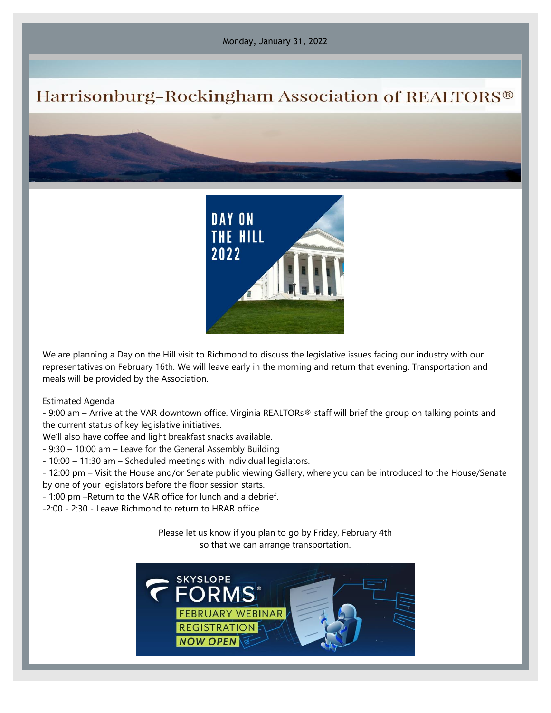Monday, January 31, 2022

## Harrisonburg-Rockingham Association of REALTORS®



We are planning a Day on the Hill visit to Richmond to discuss the legislative issues facing our industry with our representatives on February 16th. We will leave early in the morning and return that evening. Transportation and meals will be provided by the Association.

Estimated Agenda

- 9:00 am – Arrive at the VAR downtown office. Virginia REALTORs® staff will brief the group on talking points and the current status of key legislative initiatives.

We'll also have coffee and light breakfast snacks available.

- 9:30 – 10:00 am – Leave for the General Assembly Building

- 10:00 – 11:30 am – Scheduled meetings with individual legislators.

- 12:00 pm – Visit the House and/or Senate public viewing Gallery, where you can be introduced to the House/Senate by one of your legislators before the floor session starts.

- 1:00 pm –Return to the VAR office for lunch and a debrief.

-2:00 - 2:30 - Leave Richmond to return to HRAR office

Please let us know if you plan to go by Friday, February 4th so that we can arrange transportation.